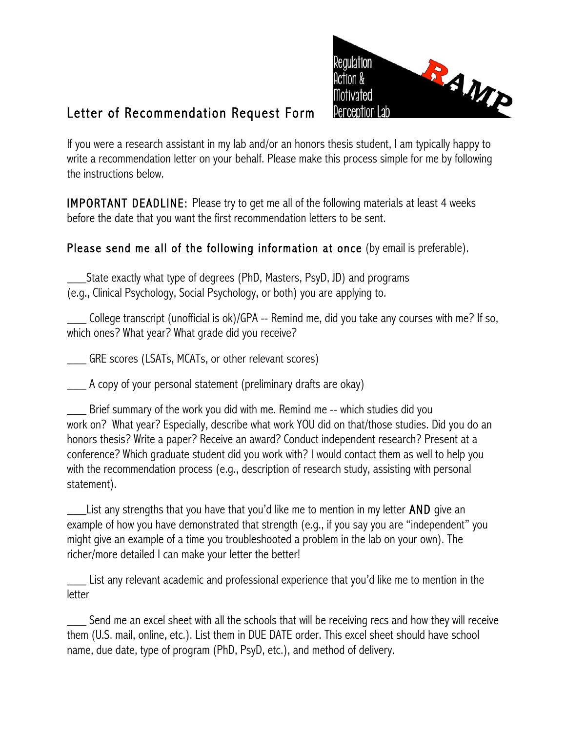

## Letter of Recommendation Request Form

If you were a research assistant in my lab and/or an honors thesis student, I am typically happy to write a recommendation letter on your behalf. Please make this process simple for me by following the instructions below.

IMPORTANT DEADLINE: Please try to get me all of the following materials at least 4 weeks before the date that you want the first recommendation letters to be sent.

## Please send me all of the following information at once (by email is preferable).

\_\_\_State exactly what type of degrees (PhD, Masters, PsyD, JD) and programs (e.g., Clinical Psychology, Social Psychology, or both) you are applying to.

College transcript (unofficial is ok)/GPA -- Remind me, did you take any courses with me? If so, which ones? What year? What grade did you receive?

\_\_\_ GRE scores (LSATs, MCATs, or other relevant scores)

\_\_\_ A copy of your personal statement (preliminary drafts are okay)

\_\_\_ Brief summary of the work you did with me. Remind me -- which studies did you work on? What year? Especially, describe what work YOU did on that/those studies. Did you do an honors thesis? Write a paper? Receive an award? Conduct independent research? Present at a conference? Which graduate student did you work with? I would contact them as well to help you with the recommendation process (e.g., description of research study, assisting with personal statement).

List any strengths that you have that you'd like me to mention in my letter **AND** give an example of how you have demonstrated that strength (e.g., if you say you are "independent" you might give an example of a time you troubleshooted a problem in the lab on your own). The richer/more detailed I can make your letter the better!

\_\_\_ List any relevant academic and professional experience that you'd like me to mention in the letter

Send me an excel sheet with all the schools that will be receiving recs and how they will receive them (U.S. mail, online, etc.). List them in DUE DATE order. This excel sheet should have school name, due date, type of program (PhD, PsyD, etc.), and method of delivery.